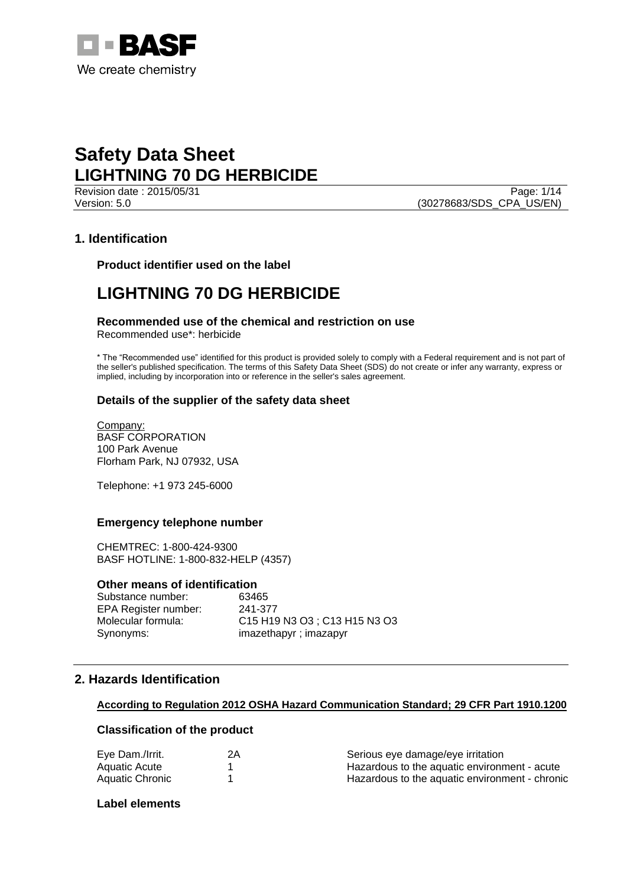

Page: 1/14 Version: 5.0 (30278683/SDS\_CPA\_US/EN)

# **1. Identification**

**Product identifier used on the label**

# **LIGHTNING 70 DG HERBICIDE**

# **Recommended use of the chemical and restriction on use**

Recommended use\*: herbicide

\* The "Recommended use" identified for this product is provided solely to comply with a Federal requirement and is not part of the seller's published specification. The terms of this Safety Data Sheet (SDS) do not create or infer any warranty, express or implied, including by incorporation into or reference in the seller's sales agreement.

# **Details of the supplier of the safety data sheet**

Company: BASF CORPORATION 100 Park Avenue Florham Park, NJ 07932, USA

Telephone: +1 973 245-6000

# **Emergency telephone number**

CHEMTREC: 1-800-424-9300 BASF HOTLINE: 1-800-832-HELP (4357)

#### **Other means of identification**

Substance number: 63465 EPA Register number: 241-377 Synonyms: imazethapyr ; imazapyr

Molecular formula: C15 H19 N3 O3 ; C13 H15 N3 O3

# **2. Hazards Identification**

#### **According to Regulation 2012 OSHA Hazard Communication Standard; 29 CFR Part 1910.1200**

# **Classification of the product**

| Eye Dam./Irrit. | 2A | Serious eye damage/eye irritation              |
|-----------------|----|------------------------------------------------|
| Aquatic Acute   |    | Hazardous to the aquatic environment - acute   |
| Aquatic Chronic |    | Hazardous to the aguatic environment - chronic |

#### **Label elements**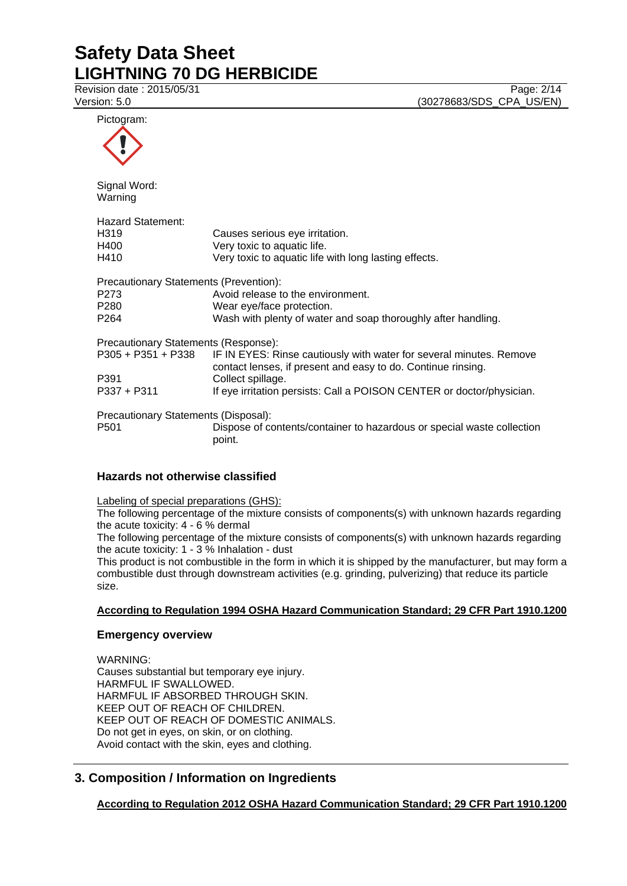Revision date : 2015/05/31 Page: 2/14<br>
Version: 5.0 (30278683/SDS CPA US/EN) (30278683/SDS\_CPA\_US/EN)

| Pictogram:                                                                                         |                                                                                                                                     |
|----------------------------------------------------------------------------------------------------|-------------------------------------------------------------------------------------------------------------------------------------|
|                                                                                                    |                                                                                                                                     |
| Signal Word:<br>Warning                                                                            |                                                                                                                                     |
| <b>Hazard Statement:</b><br>H <sub>319</sub><br>H400<br>H410                                       | Causes serious eye irritation.<br>Very toxic to aquatic life.<br>Very toxic to aquatic life with long lasting effects.              |
| Precautionary Statements (Prevention):<br>P <sub>273</sub><br>P <sub>280</sub><br>P <sub>264</sub> | Avoid release to the environment.<br>Wear eye/face protection.<br>Wash with plenty of water and soap thoroughly after handling.     |
| Precautionary Statements (Response):<br>P305 + P351 + P338                                         | IF IN EYES: Rinse cautiously with water for several minutes. Remove<br>contact lenses, if present and easy to do. Continue rinsing. |
| P391<br>$P337 + P311$                                                                              | Collect spillage.<br>If eye irritation persists: Call a POISON CENTER or doctor/physician.                                          |
| Precautionary Statements (Disposal):<br>P <sub>501</sub>                                           | Dispose of contents/container to hazardous or special waste collection<br>point.                                                    |

# **Hazards not otherwise classified**

Labeling of special preparations (GHS):

The following percentage of the mixture consists of components(s) with unknown hazards regarding the acute toxicity: 4 - 6 % dermal

The following percentage of the mixture consists of components(s) with unknown hazards regarding the acute toxicity: 1 - 3 % Inhalation - dust

This product is not combustible in the form in which it is shipped by the manufacturer, but may form a combustible dust through downstream activities (e.g. grinding, pulverizing) that reduce its particle size.

# **According to Regulation 1994 OSHA Hazard Communication Standard; 29 CFR Part 1910.1200**

# **Emergency overview**

WARNING: Causes substantial but temporary eye injury. HARMFUL IF SWALLOWED. HARMFUL IF ABSORBED THROUGH SKIN. KEEP OUT OF REACH OF CHILDREN. KEEP OUT OF REACH OF DOMESTIC ANIMALS. Do not get in eyes, on skin, or on clothing. Avoid contact with the skin, eyes and clothing.

# **3. Composition / Information on Ingredients**

**According to Regulation 2012 OSHA Hazard Communication Standard; 29 CFR Part 1910.1200**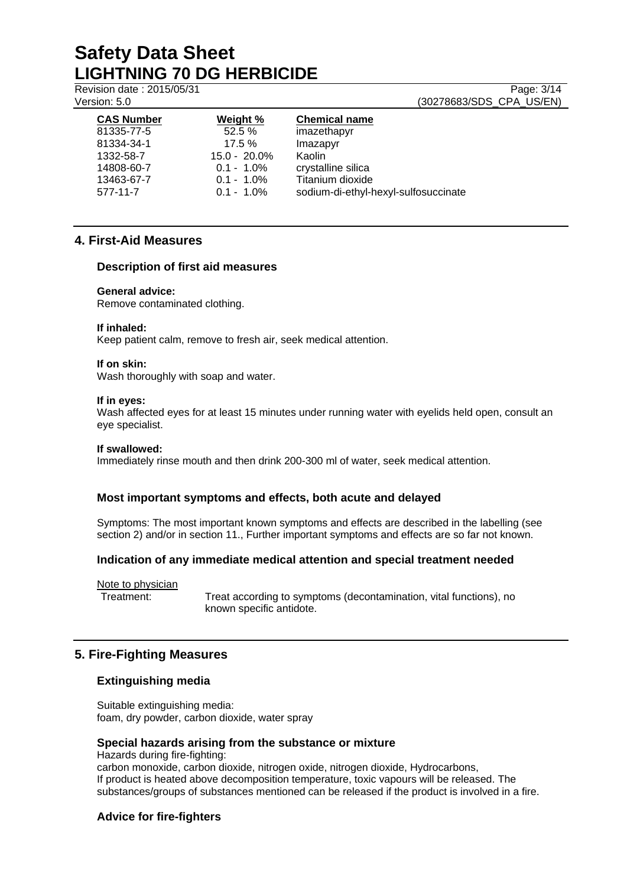Revision date : 2015/05/31 Page: 3/14 Version: 5.0 (30278683/SDS\_CPA\_US/EN)

| <b>CAS Number</b> | Weight %        | <b>Chemical name</b>                 |
|-------------------|-----------------|--------------------------------------|
| 81335-77-5        | 52.5%           | imazethapyr                          |
| 81334-34-1        | $17.5 \%$       | Imazapyr                             |
| 1332-58-7         | $15.0 - 20.0\%$ | Kaolin                               |
| 14808-60-7        | $0.1 - 1.0\%$   | crystalline silica                   |
| 13463-67-7        | $0.1 - 1.0\%$   | Titanium dioxide                     |
| 577-11-7          | $0.1 - 1.0\%$   | sodium-di-ethyl-hexyl-sulfosuccinate |
|                   |                 |                                      |

# **4. First-Aid Measures**

### **Description of first aid measures**

#### **General advice:**

Remove contaminated clothing.

#### **If inhaled:**

Keep patient calm, remove to fresh air, seek medical attention.

#### **If on skin:**

Wash thoroughly with soap and water.

#### **If in eyes:**

Wash affected eyes for at least 15 minutes under running water with eyelids held open, consult an eye specialist.

#### **If swallowed:**

Immediately rinse mouth and then drink 200-300 ml of water, seek medical attention.

# **Most important symptoms and effects, both acute and delayed**

Symptoms: The most important known symptoms and effects are described in the labelling (see section 2) and/or in section 11., Further important symptoms and effects are so far not known.

# **Indication of any immediate medical attention and special treatment needed**

Note to physician

Treatment: Treat according to symptoms (decontamination, vital functions), no known specific antidote.

# **5. Fire-Fighting Measures**

# **Extinguishing media**

Suitable extinguishing media: foam, dry powder, carbon dioxide, water spray

### **Special hazards arising from the substance or mixture**

Hazards during fire-fighting: carbon monoxide, carbon dioxide, nitrogen oxide, nitrogen dioxide, Hydrocarbons, If product is heated above decomposition temperature, toxic vapours will be released. The substances/groups of substances mentioned can be released if the product is involved in a fire.

# **Advice for fire-fighters**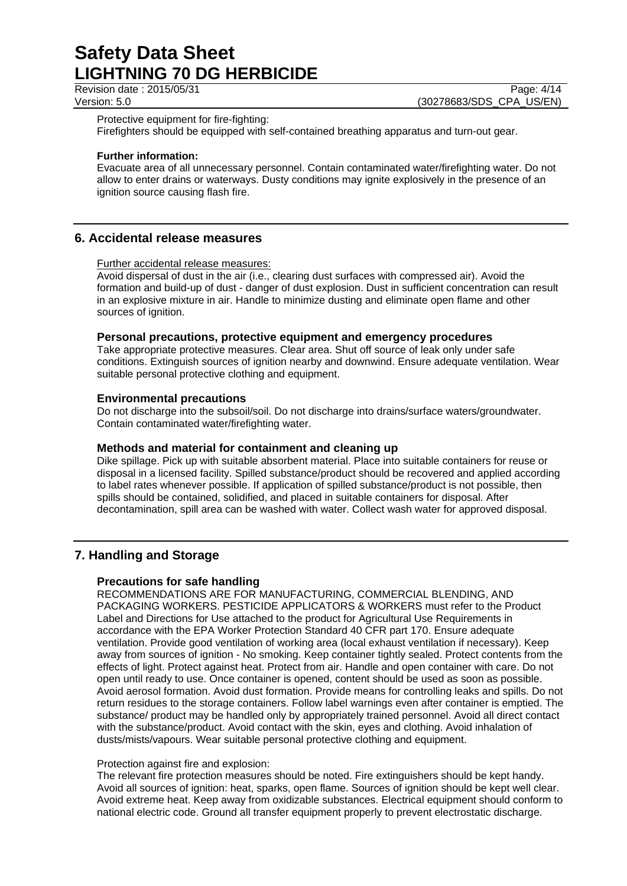Revision date : 2015/05/31 Page: 4/14

Version: 5.0 (30278683/SDS\_CPA\_US/EN)

Protective equipment for fire-fighting:

Firefighters should be equipped with self-contained breathing apparatus and turn-out gear.

#### **Further information:**

Evacuate area of all unnecessary personnel. Contain contaminated water/firefighting water. Do not allow to enter drains or waterways. Dusty conditions may ignite explosively in the presence of an ignition source causing flash fire.

# **6. Accidental release measures**

Further accidental release measures:

Avoid dispersal of dust in the air (i.e., clearing dust surfaces with compressed air). Avoid the formation and build-up of dust - danger of dust explosion. Dust in sufficient concentration can result in an explosive mixture in air. Handle to minimize dusting and eliminate open flame and other sources of ignition.

#### **Personal precautions, protective equipment and emergency procedures**

Take appropriate protective measures. Clear area. Shut off source of leak only under safe conditions. Extinguish sources of ignition nearby and downwind. Ensure adequate ventilation. Wear suitable personal protective clothing and equipment.

#### **Environmental precautions**

Do not discharge into the subsoil/soil. Do not discharge into drains/surface waters/groundwater. Contain contaminated water/firefighting water.

#### **Methods and material for containment and cleaning up**

Dike spillage. Pick up with suitable absorbent material. Place into suitable containers for reuse or disposal in a licensed facility. Spilled substance/product should be recovered and applied according to label rates whenever possible. If application of spilled substance/product is not possible, then spills should be contained, solidified, and placed in suitable containers for disposal. After decontamination, spill area can be washed with water. Collect wash water for approved disposal.

# **7. Handling and Storage**

#### **Precautions for safe handling**

RECOMMENDATIONS ARE FOR MANUFACTURING, COMMERCIAL BLENDING, AND PACKAGING WORKERS. PESTICIDE APPLICATORS & WORKERS must refer to the Product Label and Directions for Use attached to the product for Agricultural Use Requirements in accordance with the EPA Worker Protection Standard 40 CFR part 170. Ensure adequate ventilation. Provide good ventilation of working area (local exhaust ventilation if necessary). Keep away from sources of ignition - No smoking. Keep container tightly sealed. Protect contents from the effects of light. Protect against heat. Protect from air. Handle and open container with care. Do not open until ready to use. Once container is opened, content should be used as soon as possible. Avoid aerosol formation. Avoid dust formation. Provide means for controlling leaks and spills. Do not return residues to the storage containers. Follow label warnings even after container is emptied. The substance/ product may be handled only by appropriately trained personnel. Avoid all direct contact with the substance/product. Avoid contact with the skin, eyes and clothing. Avoid inhalation of dusts/mists/vapours. Wear suitable personal protective clothing and equipment.

#### Protection against fire and explosion:

The relevant fire protection measures should be noted. Fire extinguishers should be kept handy. Avoid all sources of ignition: heat, sparks, open flame. Sources of ignition should be kept well clear. Avoid extreme heat. Keep away from oxidizable substances. Electrical equipment should conform to national electric code. Ground all transfer equipment properly to prevent electrostatic discharge.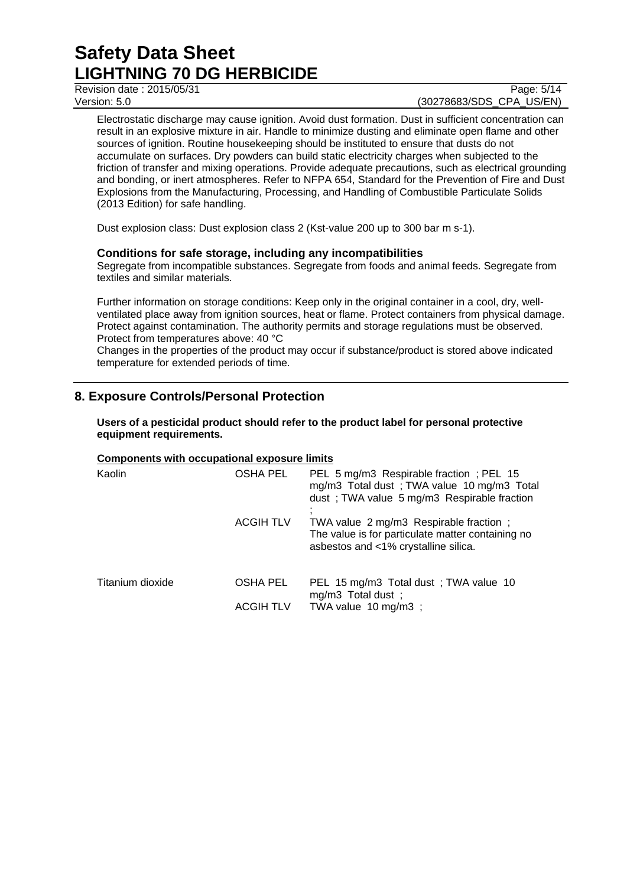Revision date : 2015/05/31 Page: 5/14

# Version: 5.0 (30278683/SDS\_CPA\_US/EN)

Electrostatic discharge may cause ignition. Avoid dust formation. Dust in sufficient concentration can result in an explosive mixture in air. Handle to minimize dusting and eliminate open flame and other sources of ignition. Routine housekeeping should be instituted to ensure that dusts do not accumulate on surfaces. Dry powders can build static electricity charges when subjected to the friction of transfer and mixing operations. Provide adequate precautions, such as electrical grounding and bonding, or inert atmospheres. Refer to NFPA 654, Standard for the Prevention of Fire and Dust Explosions from the Manufacturing, Processing, and Handling of Combustible Particulate Solids (2013 Edition) for safe handling.

Dust explosion class: Dust explosion class 2 (Kst-value 200 up to 300 bar m s-1).

# **Conditions for safe storage, including any incompatibilities**

Segregate from incompatible substances. Segregate from foods and animal feeds. Segregate from textiles and similar materials.

Further information on storage conditions: Keep only in the original container in a cool, dry, wellventilated place away from ignition sources, heat or flame. Protect containers from physical damage. Protect against contamination. The authority permits and storage regulations must be observed. Protect from temperatures above: 40 °C

Changes in the properties of the product may occur if substance/product is stored above indicated temperature for extended periods of time.

# **8. Exposure Controls/Personal Protection**

**Users of a pesticidal product should refer to the product label for personal protective equipment requirements.**

# **Components with occupational exposure limits**

| Kaolin           | OSHA PEL         | PEL 5 mg/m3 Respirable fraction; PEL 15<br>mg/m3 Total dust; TWA value 10 mg/m3 Total<br>dust; TWA value 5 mg/m3 Respirable fraction |  |
|------------------|------------------|--------------------------------------------------------------------------------------------------------------------------------------|--|
|                  | <b>ACGIH TLV</b> | TWA value 2 mg/m3 Respirable fraction;<br>The value is for particulate matter containing no<br>asbestos and <1% crystalline silica.  |  |
| Titanium dioxide | OSHA PEL         | PEL 15 mg/m3 Total dust; TWA value 10<br>mg/m3 Total dust;                                                                           |  |
|                  | ACGIH TLV        | TWA value 10 mg/m3 ;                                                                                                                 |  |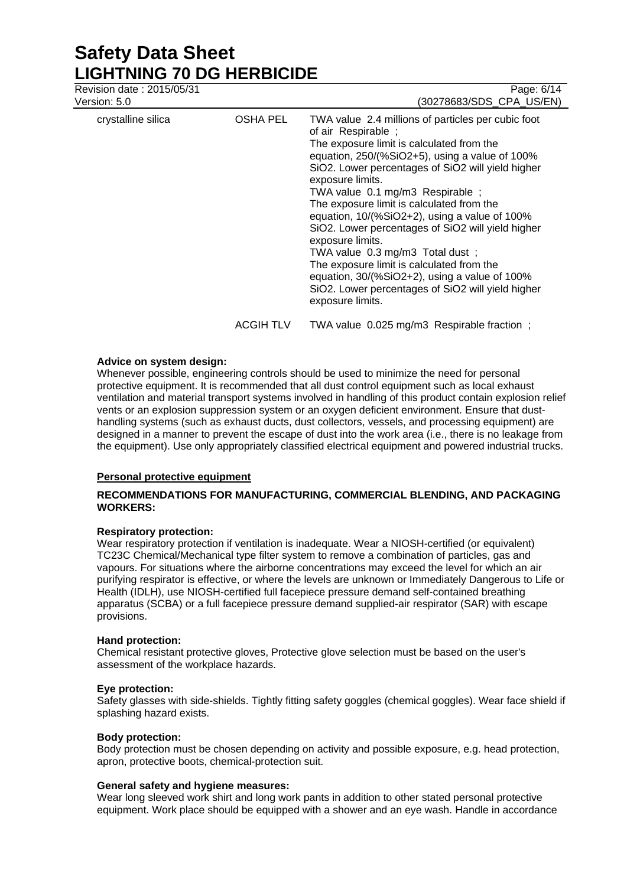Revision date : 2015/05/31 Page: 6/14 Version: 5.0 (30278683/SDS\_CPA\_US/EN) crystalline silica OSHA PEL TWA value 2.4 millions of particles per cubic foot of air Respirable ; The exposure limit is calculated from the equation, 250/(%SiO2+5), using a value of 100% SiO2. Lower percentages of SiO2 will yield higher exposure limits. TWA value 0.1 mg/m3 Respirable ; The exposure limit is calculated from the equation, 10/(%SiO2+2), using a value of 100% SiO2. Lower percentages of SiO2 will yield higher exposure limits. TWA value 0.3 mg/m3 Total dust ; The exposure limit is calculated from the equation, 30/(%SiO2+2), using a value of 100% SiO2. Lower percentages of SiO2 will yield higher exposure limits. ACGIH TLV TWA value 0.025 mg/m3 Respirable fraction ;

### **Advice on system design:**

Whenever possible, engineering controls should be used to minimize the need for personal protective equipment. It is recommended that all dust control equipment such as local exhaust ventilation and material transport systems involved in handling of this product contain explosion relief vents or an explosion suppression system or an oxygen deficient environment. Ensure that dusthandling systems (such as exhaust ducts, dust collectors, vessels, and processing equipment) are designed in a manner to prevent the escape of dust into the work area (i.e., there is no leakage from the equipment). Use only appropriately classified electrical equipment and powered industrial trucks.

# **Personal protective equipment**

### **RECOMMENDATIONS FOR MANUFACTURING, COMMERCIAL BLENDING, AND PACKAGING WORKERS:**

#### **Respiratory protection:**

Wear respiratory protection if ventilation is inadequate. Wear a NIOSH-certified (or equivalent) TC23C Chemical/Mechanical type filter system to remove a combination of particles, gas and vapours. For situations where the airborne concentrations may exceed the level for which an air purifying respirator is effective, or where the levels are unknown or Immediately Dangerous to Life or Health (IDLH), use NIOSH-certified full facepiece pressure demand self-contained breathing apparatus (SCBA) or a full facepiece pressure demand supplied-air respirator (SAR) with escape provisions.

#### **Hand protection:**

Chemical resistant protective gloves, Protective glove selection must be based on the user's assessment of the workplace hazards.

### **Eye protection:**

Safety glasses with side-shields. Tightly fitting safety goggles (chemical goggles). Wear face shield if splashing hazard exists.

#### **Body protection:**

Body protection must be chosen depending on activity and possible exposure, e.g. head protection, apron, protective boots, chemical-protection suit.

#### **General safety and hygiene measures:**

Wear long sleeved work shirt and long work pants in addition to other stated personal protective equipment. Work place should be equipped with a shower and an eye wash. Handle in accordance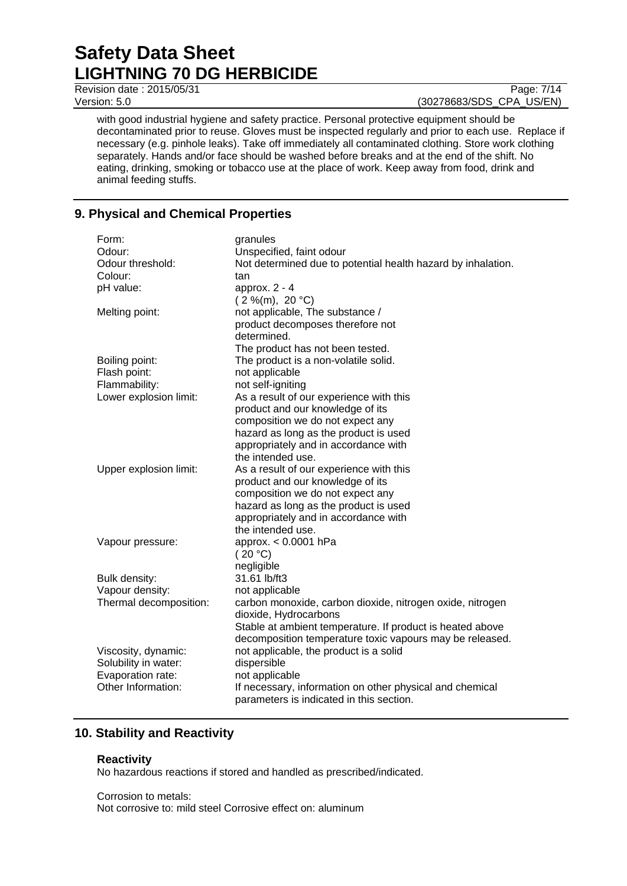Revision date : 2015/05/31 Page: 7/14

Version: 5.0 (30278683/SDS\_CPA\_US/EN)

with good industrial hygiene and safety practice. Personal protective equipment should be decontaminated prior to reuse. Gloves must be inspected regularly and prior to each use. Replace if necessary (e.g. pinhole leaks). Take off immediately all contaminated clothing. Store work clothing separately. Hands and/or face should be washed before breaks and at the end of the shift. No eating, drinking, smoking or tobacco use at the place of work. Keep away from food, drink and animal feeding stuffs.

# **9. Physical and Chemical Properties**

| Form:                  | granules                                                     |  |
|------------------------|--------------------------------------------------------------|--|
| Odour:                 | Unspecified, faint odour                                     |  |
| Odour threshold:       | Not determined due to potential health hazard by inhalation. |  |
| Colour:                | tan                                                          |  |
| pH value:              | approx. $2 - 4$                                              |  |
|                        | $(2\%$ (m), 20 °C)                                           |  |
| Melting point:         | not applicable, The substance /                              |  |
|                        | product decomposes therefore not                             |  |
|                        | determined.                                                  |  |
|                        | The product has not been tested.                             |  |
| Boiling point:         | The product is a non-volatile solid.                         |  |
| Flash point:           | not applicable                                               |  |
| Flammability:          | not self-igniting                                            |  |
| Lower explosion limit: | As a result of our experience with this                      |  |
|                        | product and our knowledge of its                             |  |
|                        | composition we do not expect any                             |  |
|                        | hazard as long as the product is used                        |  |
|                        | appropriately and in accordance with                         |  |
|                        | the intended use.                                            |  |
| Upper explosion limit: | As a result of our experience with this                      |  |
|                        | product and our knowledge of its                             |  |
|                        | composition we do not expect any                             |  |
|                        | hazard as long as the product is used                        |  |
|                        | appropriately and in accordance with                         |  |
|                        | the intended use.                                            |  |
| Vapour pressure:       | approx. $< 0.0001$ hPa                                       |  |
|                        | (20 °C)                                                      |  |
|                        | negligible                                                   |  |
| Bulk density:          | 31.61 lb/ft3                                                 |  |
| Vapour density:        | not applicable                                               |  |
| Thermal decomposition: | carbon monoxide, carbon dioxide, nitrogen oxide, nitrogen    |  |
|                        | dioxide, Hydrocarbons                                        |  |
|                        | Stable at ambient temperature. If product is heated above    |  |
|                        | decomposition temperature toxic vapours may be released.     |  |
| Viscosity, dynamic:    | not applicable, the product is a solid                       |  |
| Solubility in water:   | dispersible                                                  |  |
| Evaporation rate:      | not applicable                                               |  |
| Other Information:     | If necessary, information on other physical and chemical     |  |
|                        | parameters is indicated in this section.                     |  |

# **10. Stability and Reactivity**

#### **Reactivity**

No hazardous reactions if stored and handled as prescribed/indicated.

Corrosion to metals: Not corrosive to: mild steel Corrosive effect on: aluminum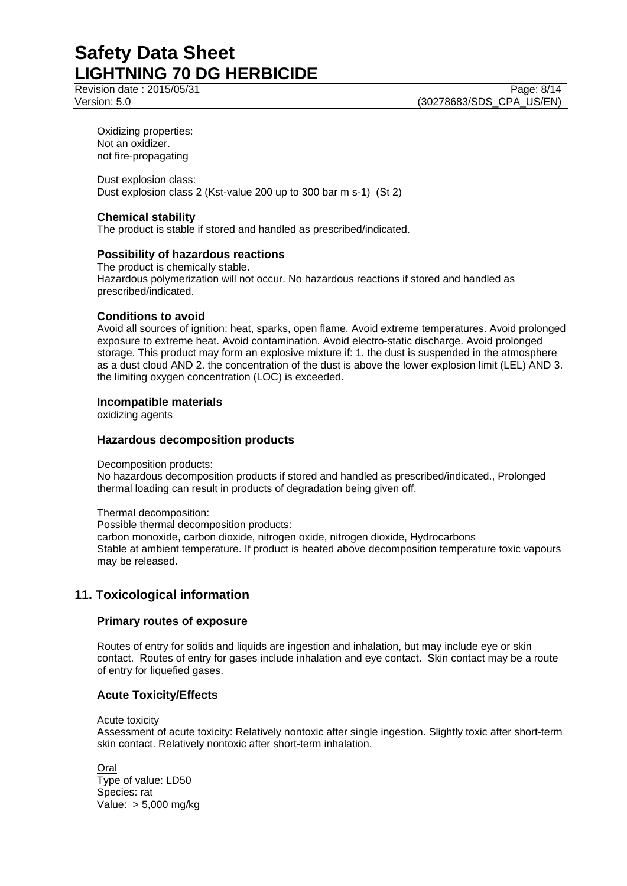Revision date : 2015/05/31 Page: 8/14 Version: 5.0 (30278683/SDS\_CPA\_US/EN)

Oxidizing properties: Not an oxidizer. not fire-propagating

Dust explosion class: Dust explosion class 2 (Kst-value 200 up to 300 bar m s-1) (St 2)

### **Chemical stability**

The product is stable if stored and handled as prescribed/indicated.

#### **Possibility of hazardous reactions**

The product is chemically stable. Hazardous polymerization will not occur. No hazardous reactions if stored and handled as prescribed/indicated.

#### **Conditions to avoid**

Avoid all sources of ignition: heat, sparks, open flame. Avoid extreme temperatures. Avoid prolonged exposure to extreme heat. Avoid contamination. Avoid electro-static discharge. Avoid prolonged storage. This product may form an explosive mixture if: 1. the dust is suspended in the atmosphere as a dust cloud AND 2. the concentration of the dust is above the lower explosion limit (LEL) AND 3. the limiting oxygen concentration (LOC) is exceeded.

#### **Incompatible materials**

oxidizing agents

#### **Hazardous decomposition products**

Decomposition products:

No hazardous decomposition products if stored and handled as prescribed/indicated., Prolonged thermal loading can result in products of degradation being given off.

Thermal decomposition:

Possible thermal decomposition products: carbon monoxide, carbon dioxide, nitrogen oxide, nitrogen dioxide, Hydrocarbons Stable at ambient temperature. If product is heated above decomposition temperature toxic vapours may be released.

# **11. Toxicological information**

#### **Primary routes of exposure**

Routes of entry for solids and liquids are ingestion and inhalation, but may include eye or skin contact. Routes of entry for gases include inhalation and eye contact. Skin contact may be a route of entry for liquefied gases.

#### **Acute Toxicity/Effects**

Acute toxicity

Assessment of acute toxicity: Relatively nontoxic after single ingestion. Slightly toxic after short-term skin contact. Relatively nontoxic after short-term inhalation.

Oral Type of value: LD50 Species: rat Value: > 5,000 mg/kg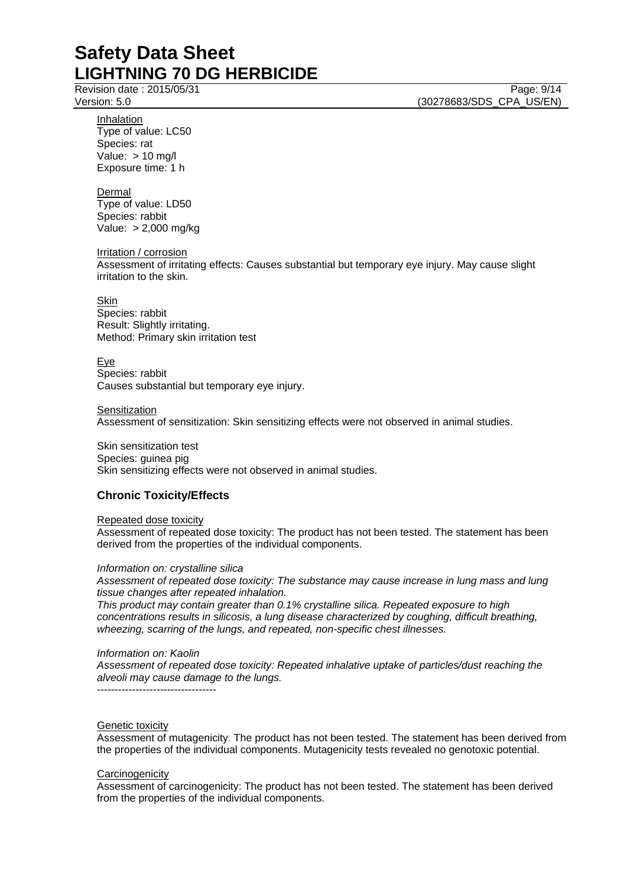Revision date : 2015/05/31 Page: 9/14

Version: 5.0 (30278683/SDS\_CPA\_US/EN)

Inhalation Type of value: LC50 Species: rat Value:  $> 10$  mg/l Exposure time: 1 h

Dermal

Type of value: LD50 Species: rabbit Value: > 2,000 mg/kg

Irritation / corrosion

Assessment of irritating effects: Causes substantial but temporary eye injury. May cause slight irritation to the skin.

Skin

Species: rabbit Result: Slightly irritating. Method: Primary skin irritation test

Eye Species: rabbit Causes substantial but temporary eye injury.

**Sensitization** 

Assessment of sensitization: Skin sensitizing effects were not observed in animal studies.

Skin sensitization test

Species: guinea pig Skin sensitizing effects were not observed in animal studies.

# **Chronic Toxicity/Effects**

Repeated dose toxicity

Assessment of repeated dose toxicity: The product has not been tested. The statement has been derived from the properties of the individual components.

*Information on: crystalline silica*

*Assessment of repeated dose toxicity: The substance may cause increase in lung mass and lung tissue changes after repeated inhalation.*

*This product may contain greater than 0.1% crystalline silica. Repeated exposure to high concentrations results in silicosis, a lung disease characterized by coughing, difficult breathing, wheezing, scarring of the lungs, and repeated, non-specific chest illnesses.*

*Information on: Kaolin*

*Assessment of repeated dose toxicity: Repeated inhalative uptake of particles/dust reaching the alveoli may cause damage to the lungs.*

----------------------------------

#### Genetic toxicity

Assessment of mutagenicity: The product has not been tested. The statement has been derived from the properties of the individual components. Mutagenicity tests revealed no genotoxic potential.

#### **Carcinogenicity**

Assessment of carcinogenicity: The product has not been tested. The statement has been derived from the properties of the individual components.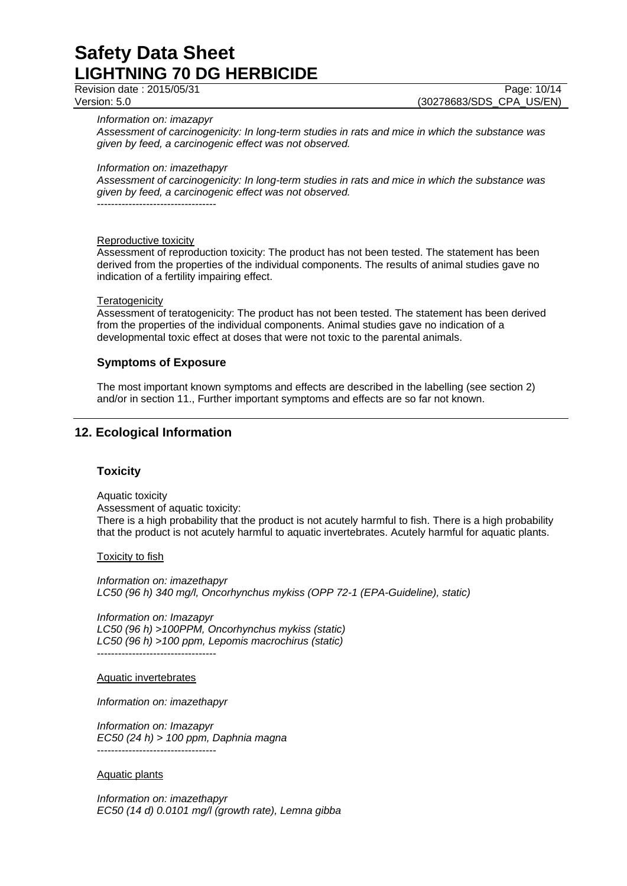Revision date : 2015/05/31 Page: 10/14

Version: 5.0 (30278683/SDS\_CPA\_US/EN)

*Information on: imazapyr*

*Assessment of carcinogenicity: In long-term studies in rats and mice in which the substance was given by feed, a carcinogenic effect was not observed.*

*Information on: imazethapyr*

*Assessment of carcinogenicity: In long-term studies in rats and mice in which the substance was given by feed, a carcinogenic effect was not observed.* ----------------------------------

Reproductive toxicity

Assessment of reproduction toxicity: The product has not been tested. The statement has been derived from the properties of the individual components. The results of animal studies gave no indication of a fertility impairing effect.

#### **Teratogenicity**

Assessment of teratogenicity: The product has not been tested. The statement has been derived from the properties of the individual components. Animal studies gave no indication of a developmental toxic effect at doses that were not toxic to the parental animals.

#### **Symptoms of Exposure**

The most important known symptoms and effects are described in the labelling (see section 2) and/or in section 11., Further important symptoms and effects are so far not known.

# **12. Ecological Information**

#### **Toxicity**

Aquatic toxicity Assessment of aquatic toxicity: There is a high probability that the product is not acutely harmful to fish. There is a high probability that the product is not acutely harmful to aquatic invertebrates. Acutely harmful for aquatic plants.

Toxicity to fish

*Information on: imazethapyr LC50 (96 h) 340 mg/l, Oncorhynchus mykiss (OPP 72-1 (EPA-Guideline), static)*

*Information on: Imazapyr LC50 (96 h) >100PPM, Oncorhynchus mykiss (static) LC50 (96 h) >100 ppm, Lepomis macrochirus (static)* ----------------------------------

Aquatic invertebrates

*Information on: imazethapyr*

*Information on: Imazapyr EC50 (24 h) > 100 ppm, Daphnia magna* ----------------------------------

Aquatic plants

*Information on: imazethapyr EC50 (14 d) 0.0101 mg/l (growth rate), Lemna gibba*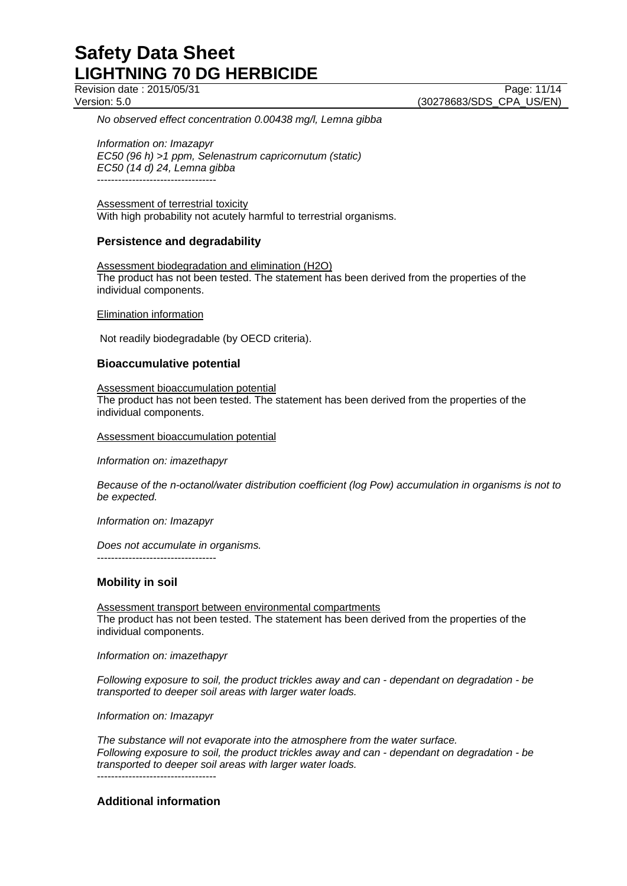Revision date : 2015/05/31 Page: 11/14

Version: 5.0 (30278683/SDS\_CPA\_US/EN)

*No observed effect concentration 0.00438 mg/l, Lemna gibba*

*Information on: Imazapyr EC50 (96 h) >1 ppm, Selenastrum capricornutum (static) EC50 (14 d) 24, Lemna gibba* ----------------------------------

Assessment of terrestrial toxicity With high probability not acutely harmful to terrestrial organisms.

### **Persistence and degradability**

Assessment biodegradation and elimination (H2O) The product has not been tested. The statement has been derived from the properties of the individual components.

Elimination information

Not readily biodegradable (by OECD criteria).

### **Bioaccumulative potential**

Assessment bioaccumulation potential

The product has not been tested. The statement has been derived from the properties of the individual components.

Assessment bioaccumulation potential

*Information on: imazethapyr*

*Because of the n-octanol/water distribution coefficient (log Pow) accumulation in organisms is not to be expected.*

*Information on: Imazapyr*

*Does not accumulate in organisms.* ----------------------------------

# **Mobility in soil**

Assessment transport between environmental compartments The product has not been tested. The statement has been derived from the properties of the individual components.

*Information on: imazethapyr*

*Following exposure to soil, the product trickles away and can - dependant on degradation - be transported to deeper soil areas with larger water loads.*

*Information on: Imazapyr*

*The substance will not evaporate into the atmosphere from the water surface. Following exposure to soil, the product trickles away and can - dependant on degradation - be transported to deeper soil areas with larger water loads.* ----------------------------------

**Additional information**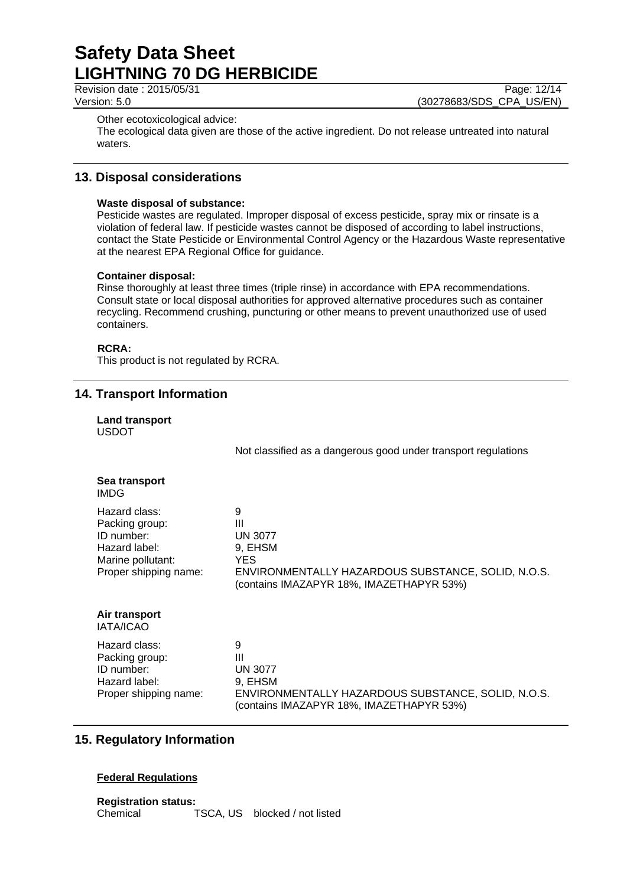Revision date : 2015/05/31 Page: 12/14

Version: 5.0 (30278683/SDS\_CPA\_US/EN)

Other ecotoxicological advice:

The ecological data given are those of the active ingredient. Do not release untreated into natural waters.

# **13. Disposal considerations**

### **Waste disposal of substance:**

Pesticide wastes are regulated. Improper disposal of excess pesticide, spray mix or rinsate is a violation of federal law. If pesticide wastes cannot be disposed of according to label instructions, contact the State Pesticide or Environmental Control Agency or the Hazardous Waste representative at the nearest EPA Regional Office for guidance.

### **Container disposal:**

Rinse thoroughly at least three times (triple rinse) in accordance with EPA recommendations. Consult state or local disposal authorities for approved alternative procedures such as container recycling. Recommend crushing, puncturing or other means to prevent unauthorized use of used containers.

### **RCRA:**

This product is not regulated by RCRA.

# **14. Transport Information**

|              | Land transport |
|--------------|----------------|
| <b>USDOT</b> |                |

Not classified as a dangerous good under transport regulations

|             | Sea transport |
|-------------|---------------|
| <b>IMDG</b> |               |

#### **Air transport** IATA/ICAO

Hazard class: 9 Packing group: III ID number: UN 3077 Hazard label: 9, EHSM Proper shipping name: ENVIRONMENTALLY HAZARDOUS SUBSTANCE, SOLID, N.O.S. (contains IMAZAPYR 18%, IMAZETHAPYR 53%)

# **15. Regulatory Information**

# **Federal Regulations**

**Registration status:** Chemical TSCA, US blocked / not listed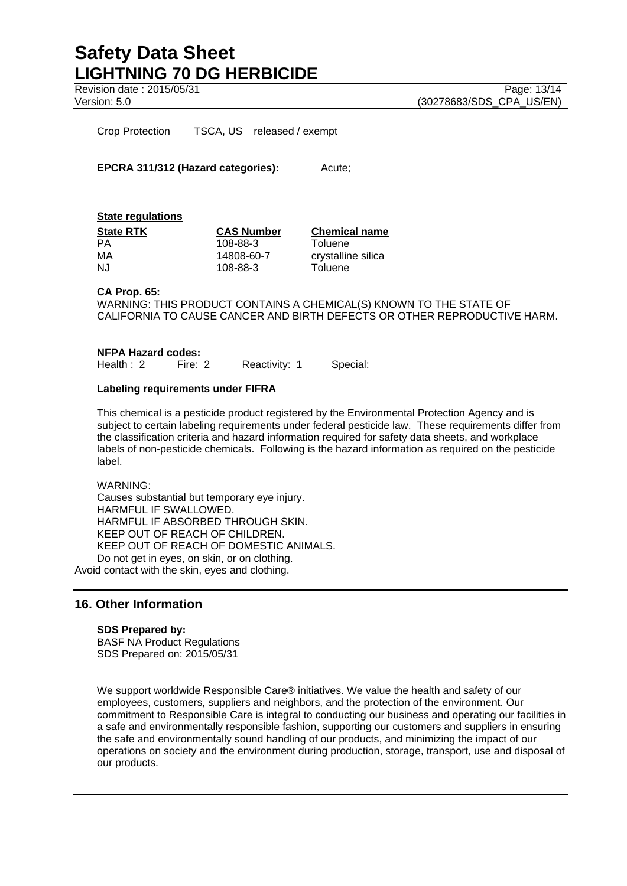Revision date : 2015/05/31 Page: 13/14

Version: 5.0 (30278683/SDS\_CPA\_US/EN)

Crop Protection TSCA, US released / exempt

**EPCRA 311/312 (Hazard categories):** Acute;

**State regulations**

| <b>State RTK</b> | <b>CAS Number</b> | <b>Chemical name</b> |  |
|------------------|-------------------|----------------------|--|
| PА               | 108-88-3          | Toluene              |  |
| МA               | 14808-60-7        | crystalline silica   |  |
| NJ.              | 108-88-3          | Toluene              |  |

**CA Prop. 65:**

WARNING: THIS PRODUCT CONTAINS A CHEMICAL(S) KNOWN TO THE STATE OF CALIFORNIA TO CAUSE CANCER AND BIRTH DEFECTS OR OTHER REPRODUCTIVE HARM.

**NFPA Hazard codes:**<br>Health 2 Fire: 2 Reactivity: 1 Special:

#### **Labeling requirements under FIFRA**

This chemical is a pesticide product registered by the Environmental Protection Agency and is subject to certain labeling requirements under federal pesticide law. These requirements differ from the classification criteria and hazard information required for safety data sheets, and workplace labels of non-pesticide chemicals. Following is the hazard information as required on the pesticide label.

WARNING:

Causes substantial but temporary eye injury. HARMFUL IF SWALLOWED. HARMFUL IF ABSORBED THROUGH SKIN. KEEP OUT OF REACH OF CHILDREN. KEEP OUT OF REACH OF DOMESTIC ANIMALS. Do not get in eyes, on skin, or on clothing.

Avoid contact with the skin, eyes and clothing.

# **16. Other Information**

#### **SDS Prepared by:**

BASF NA Product Regulations SDS Prepared on: 2015/05/31

We support worldwide Responsible Care® initiatives. We value the health and safety of our employees, customers, suppliers and neighbors, and the protection of the environment. Our commitment to Responsible Care is integral to conducting our business and operating our facilities in a safe and environmentally responsible fashion, supporting our customers and suppliers in ensuring the safe and environmentally sound handling of our products, and minimizing the impact of our operations on society and the environment during production, storage, transport, use and disposal of our products.